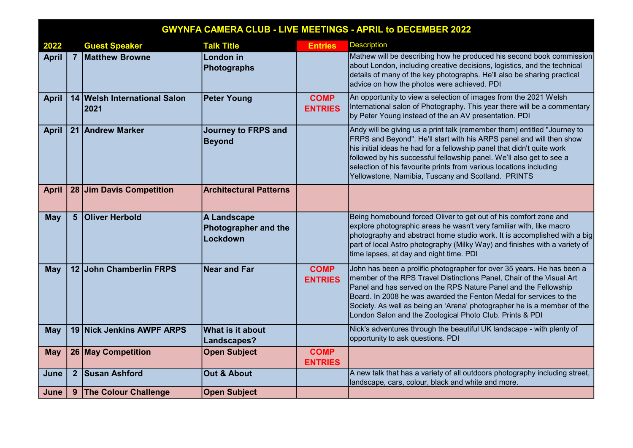| <b>GWYNFA CAMERA CLUB - LIVE MEETINGS - APRIL to DECEMBER 2022</b> |  |                                      |                                                 |                               |                                                                                                                                                                                                                                                                                                                                                                                                                                |  |  |
|--------------------------------------------------------------------|--|--------------------------------------|-------------------------------------------------|-------------------------------|--------------------------------------------------------------------------------------------------------------------------------------------------------------------------------------------------------------------------------------------------------------------------------------------------------------------------------------------------------------------------------------------------------------------------------|--|--|
| 2022                                                               |  | <b>Guest Speaker</b>                 | <b>Talk Title</b>                               | <b>Entries</b>                | <b>Description</b>                                                                                                                                                                                                                                                                                                                                                                                                             |  |  |
| <b>April</b>                                                       |  | 7 Matthew Browne                     | London in<br>Photographs                        |                               | Mathew will be describing how he produced his second book commission<br>about London, including creative decisions, logistics, and the technical<br>details of many of the key photographs. He'll also be sharing practical<br>advice on how the photos were achieved. PDI                                                                                                                                                     |  |  |
| <b>April</b>                                                       |  | 14 Welsh International Salon<br>2021 | <b>Peter Young</b>                              | <b>COMP</b><br><b>ENTRIES</b> | An opportunity to view a selection of images from the 2021 Welsh<br>International salon of Photography. This year there will be a commentary<br>by Peter Young instead of the an AV presentation. PDI                                                                                                                                                                                                                          |  |  |
| <b>April</b>                                                       |  | 21 Andrew Marker                     | <b>Journey to FRPS and</b><br><b>Beyond</b>     |                               | Andy will be giving us a print talk (remember them) entitled "Journey to<br>FRPS and Beyond". He'll start with his ARPS panel and will then show<br>his initial ideas he had for a fellowship panel that didn't quite work<br>followed by his successful fellowship panel. We'll also get to see a<br>selection of his favourite prints from various locations including<br>Yellowstone, Namibia, Tuscany and Scotland. PRINTS |  |  |
| <b>April</b>                                                       |  | 28 Jim Davis Competition             | <b>Architectural Patterns</b>                   |                               |                                                                                                                                                                                                                                                                                                                                                                                                                                |  |  |
| <b>May</b>                                                         |  | 5 Oliver Herbold                     | A Landscape<br>Photographer and the<br>Lockdown |                               | Being homebound forced Oliver to get out of his comfort zone and<br>explore photographic areas he wasn't very familiar with, like macro<br>photography and abstract home studio work. It is accomplished with a big<br>part of local Astro photography (Milky Way) and finishes with a variety of<br>time lapses, at day and night time. PDI                                                                                   |  |  |
| <b>May</b>                                                         |  | 12 John Chamberlin FRPS              | $ $ Near and Far                                | <b>COMP</b><br><b>ENTRIES</b> | John has been a prolific photographer for over 35 years. He has been a<br>member of the RPS Travel Distinctions Panel, Chair of the Visual Art<br>Panel and has served on the RPS Nature Panel and the Fellowship<br>Board. In 2008 he was awarded the Fenton Medal for services to the<br>Society. As well as being an 'Arena' photographer he is a member of the<br>London Salon and the Zoological Photo Club. Prints & PDI |  |  |
| <b>May</b>                                                         |  | 19 Nick Jenkins AWPF ARPS            | What is it about<br>Landscapes?                 |                               | Nick's adventures through the beautiful UK landscape - with plenty of<br>opportunity to ask questions. PDI                                                                                                                                                                                                                                                                                                                     |  |  |
| <b>May</b>                                                         |  | 26 May Competition                   | <b>Open Subject</b>                             | <b>COMP</b><br><b>ENTRIES</b> |                                                                                                                                                                                                                                                                                                                                                                                                                                |  |  |
| June                                                               |  | 2 Susan Ashford                      | Out & About                                     |                               | A new talk that has a variety of all outdoors photography including street,<br>landscape, cars, colour, black and white and more.                                                                                                                                                                                                                                                                                              |  |  |
| June                                                               |  | 9 The Colour Challenge               | <b>Open Subject</b>                             |                               |                                                                                                                                                                                                                                                                                                                                                                                                                                |  |  |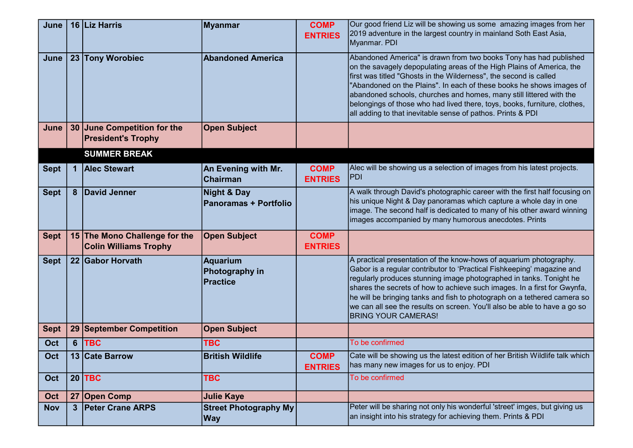| June        | 16 Liz Harris                                                 | Myanmar                                     | <b>COMP</b><br><b>ENTRIES</b> | Our good friend Liz will be showing us some amazing images from her<br>2019 adventure in the largest country in mainland Soth East Asia,<br>Myanmar. PDI                                                                                                                                                                                                                                                                                                                                                   |
|-------------|---------------------------------------------------------------|---------------------------------------------|-------------------------------|------------------------------------------------------------------------------------------------------------------------------------------------------------------------------------------------------------------------------------------------------------------------------------------------------------------------------------------------------------------------------------------------------------------------------------------------------------------------------------------------------------|
| June        | 23 Tony Worobiec                                              | <b>Abandoned America</b>                    |                               | Abandoned America" is drawn from two books Tony has had published<br>on the savagely depopulating areas of the High Plains of America, the<br>first was titled "Ghosts in the Wilderness", the second is called<br>"Abandoned on the Plains". In each of these books he shows images of<br>abandoned schools, churches and homes, many still littered with the<br>belongings of those who had lived there, toys, books, furniture, clothes,<br>all adding to that inevitable sense of pathos. Prints & PDI |
| June        | 30 June Competition for the<br><b>President's Trophy</b>      | <b>Open Subject</b>                         |                               |                                                                                                                                                                                                                                                                                                                                                                                                                                                                                                            |
|             | <b>SUMMER BREAK</b>                                           |                                             |                               |                                                                                                                                                                                                                                                                                                                                                                                                                                                                                                            |
| <b>Sept</b> | 1 Alec Stewart                                                | An Evening with Mr.<br>Chairman             | <b>COMP</b><br><b>ENTRIES</b> | Alec will be showing us a selection of images from his latest projects.<br><b>PDI</b>                                                                                                                                                                                                                                                                                                                                                                                                                      |
| <b>Sept</b> | 8 David Jenner                                                | Night & Day<br><b>Panoramas + Portfolio</b> |                               | A walk through David's photographic career with the first half focusing on<br>his unique Night & Day panoramas which capture a whole day in one<br>image. The second half is dedicated to many of his other award winning<br>images accompanied by many humorous anecdotes. Prints                                                                                                                                                                                                                         |
| <b>Sept</b> | 15 The Mono Challenge for the<br><b>Colin Williams Trophy</b> | <b>Open Subject</b>                         | <b>COMP</b><br><b>ENTRIES</b> |                                                                                                                                                                                                                                                                                                                                                                                                                                                                                                            |
| <b>Sept</b> | 22 Gabor Horvath                                              | Aquarium<br>Photography in<br>Practice      |                               | A practical presentation of the know-hows of aquarium photography.<br>Gabor is a regular contributor to 'Practical Fishkeeping' magazine and<br>regularly produces stunning image photographed in tanks. Tonight he<br>shares the secrets of how to achieve such images. In a first for Gwynfa,<br>he will be bringing tanks and fish to photograph on a tethered camera so<br>we can all see the results on screen. You'll also be able to have a go so<br><b>BRING YOUR CAMERAS!</b>                     |
| <b>Sept</b> | 29 September Competition                                      | <b>Open Subject</b>                         |                               |                                                                                                                                                                                                                                                                                                                                                                                                                                                                                                            |
| Oct         | 6   TBC                                                       | <b>TBC</b>                                  |                               | To be confirmed                                                                                                                                                                                                                                                                                                                                                                                                                                                                                            |
| Oct         | 13 Cate Barrow                                                | <b>British Wildlife</b>                     | <b>COMP</b><br><b>ENTRIES</b> | Cate will be showing us the latest edition of her British Wildlife talk which<br>has many new images for us to enjoy. PDI                                                                                                                                                                                                                                                                                                                                                                                  |
| Oct         | $20$ TBC                                                      | <b>TBC</b>                                  |                               | To be confirmed                                                                                                                                                                                                                                                                                                                                                                                                                                                                                            |
| Oct         | 27 Open Comp                                                  | <b>Julie Kaye</b>                           |                               |                                                                                                                                                                                                                                                                                                                                                                                                                                                                                                            |
| <b>Nov</b>  | 3 Peter Crane ARPS                                            | <b>Street Photography My</b><br><b>Way</b>  |                               | Peter will be sharing not only his wonderful 'street' imges, but giving us<br>an insight into his strategy for achieving them. Prints & PDI                                                                                                                                                                                                                                                                                                                                                                |